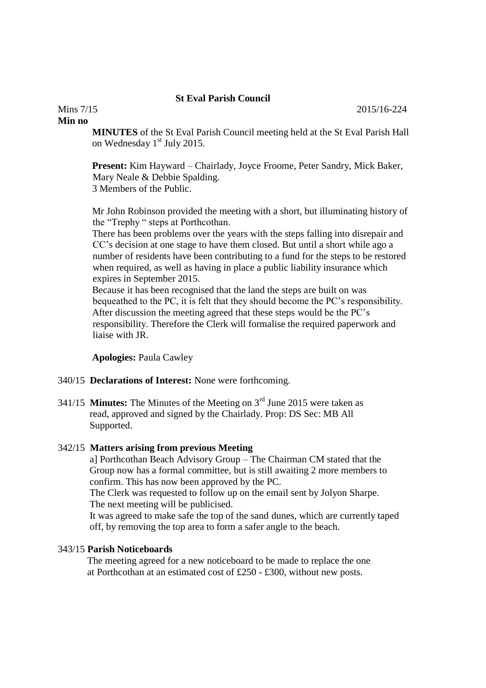## **St Eval Parish Council**

#### **Min no**

**MINUTES** of the St Eval Parish Council meeting held at the St Eval Parish Hall on Wednesday 1<sup>st</sup> July 2015.

**Present:** Kim Hayward – Chairlady, Joyce Froome, Peter Sandry, Mick Baker, Mary Neale & Debbie Spalding. 3 Members of the Public.

Mr John Robinson provided the meeting with a short, but illuminating history of the "Trephy " steps at Porthcothan.

There has been problems over the years with the steps falling into disrepair and CC's decision at one stage to have them closed. But until a short while ago a number of residents have been contributing to a fund for the steps to be restored when required, as well as having in place a public liability insurance which expires in September 2015.

Because it has been recognised that the land the steps are built on was bequeathed to the PC, it is felt that they should become the PC's responsibility. After discussion the meeting agreed that these steps would be the PC's responsibility. Therefore the Clerk will formalise the required paperwork and liaise with JR.

**Apologies:** Paula Cawley

- 340/15 **Declarations of Interest:** None were forthcoming.
- 341/15 **Minutes:** The Minutes of the Meeting on 3rd June 2015 were taken as read, approved and signed by the Chairlady. Prop: DS Sec: MB All Supported.

#### 342/15 **Matters arising from previous Meeting**

 a] Porthcothan Beach Advisory Group – The Chairman CM stated that the Group now has a formal committee, but is still awaiting 2 more members to confirm. This has now been approved by the PC.

 The Clerk was requested to follow up on the email sent by Jolyon Sharpe. The next meeting will be publicised.

 It was agreed to make safe the top of the sand dunes, which are currently taped off, by removing the top area to form a safer angle to the beach.

# 343/15 **Parish Noticeboards**

 The meeting agreed for a new noticeboard to be made to replace the one at Porthcothan at an estimated cost of £250 - £300, without new posts.